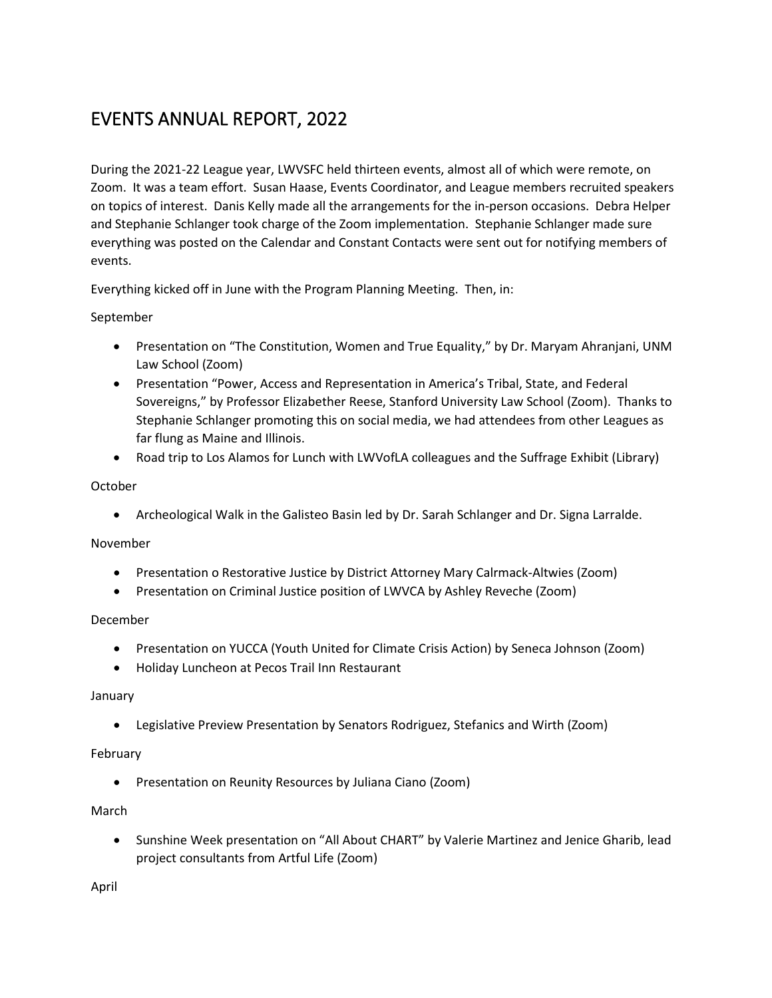# EVENTS ANNUAL REPORT, 2022

During the 2021-22 League year, LWVSFC held thirteen events, almost all of which were remote, on Zoom. It was a team effort. Susan Haase, Events Coordinator, and League members recruited speakers on topics of interest. Danis Kelly made all the arrangements for the in-person occasions. Debra Helper and Stephanie Schlanger took charge of the Zoom implementation. Stephanie Schlanger made sure everything was posted on the Calendar and Constant Contacts were sent out for notifying members of events.

Everything kicked off in June with the Program Planning Meeting. Then, in:

September

- Presentation on "The Constitution, Women and True Equality," by Dr. Maryam Ahranjani, UNM Law School (Zoom)
- Presentation "Power, Access and Representation in America's Tribal, State, and Federal Sovereigns," by Professor Elizabether Reese, Stanford University Law School (Zoom). Thanks to Stephanie Schlanger promoting this on social media, we had attendees from other Leagues as far flung as Maine and Illinois.
- Road trip to Los Alamos for Lunch with LWVofLA colleagues and the Suffrage Exhibit (Library)

# October

• Archeological Walk in the Galisteo Basin led by Dr. Sarah Schlanger and Dr. Signa Larralde.

# November

- Presentation o Restorative Justice by District Attorney Mary Calrmack-Altwies (Zoom)
- Presentation on Criminal Justice position of LWVCA by Ashley Reveche (Zoom)

### December

- Presentation on YUCCA (Youth United for Climate Crisis Action) by Seneca Johnson (Zoom)
- Holiday Luncheon at Pecos Trail Inn Restaurant

### January

• Legislative Preview Presentation by Senators Rodriguez, Stefanics and Wirth (Zoom)

# February

• Presentation on Reunity Resources by Juliana Ciano (Zoom)

# March

• Sunshine Week presentation on "All About CHART" by Valerie Martinez and Jenice Gharib, lead project consultants from Artful Life (Zoom)

April